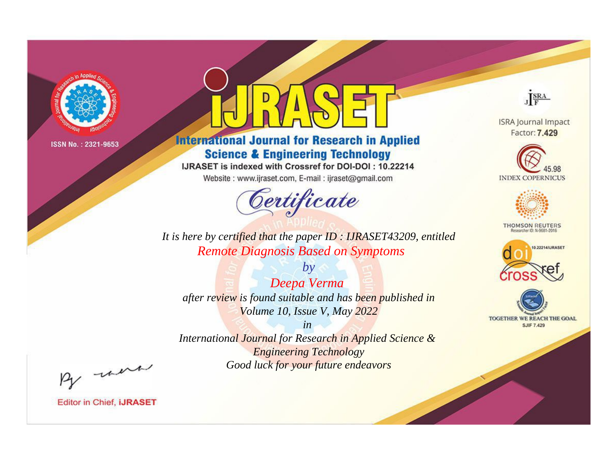

# **International Journal for Research in Applied Science & Engineering Technology**

IJRASET is indexed with Crossref for DOI-DOI: 10.22214

Website: www.ijraset.com, E-mail: ijraset@gmail.com



JERA

**ISRA Journal Impact** Factor: 7.429





**THOMSON REUTERS** 



TOGETHER WE REACH THE GOAL **SJIF 7.429** 

*It is here by certified that the paper ID : IJRASET43209, entitled Remote Diagnosis Based on Symptoms*

*by Deepa Verma after review is found suitable and has been published in Volume 10, Issue V, May 2022*

*in* 

*International Journal for Research in Applied Science & Engineering Technology Good luck for your future endeavors*

By morn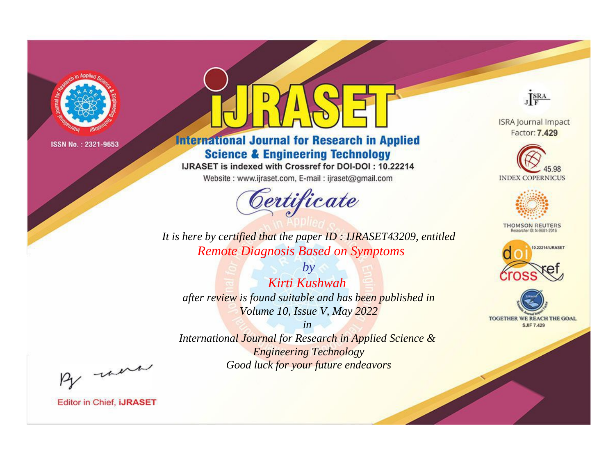

# **International Journal for Research in Applied Science & Engineering Technology**

IJRASET is indexed with Crossref for DOI-DOI: 10.22214

Website: www.ijraset.com, E-mail: ijraset@gmail.com



**ISRA Journal Impact** Factor: 7.429

JERA





**THOMSON REUTERS** 



TOGETHER WE REACH THE GOAL **SJIF 7.429** 

*It is here by certified that the paper ID : IJRASET43209, entitled Remote Diagnosis Based on Symptoms*

*by Kirti Kushwah after review is found suitable and has been published in Volume 10, Issue V, May 2022*

*in* 

*International Journal for Research in Applied Science & Engineering Technology Good luck for your future endeavors*

By morn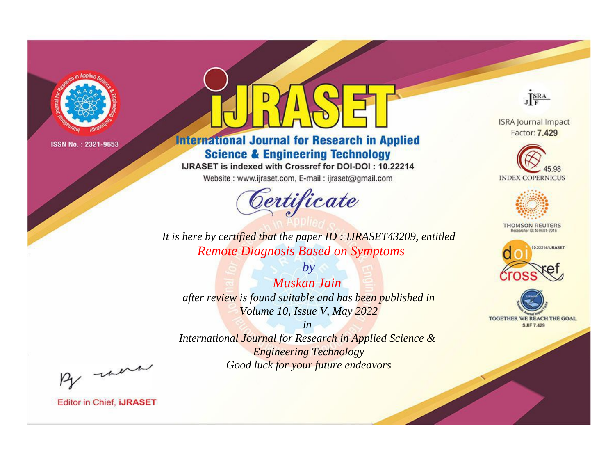

# **International Journal for Research in Applied Science & Engineering Technology**

IJRASET is indexed with Crossref for DOI-DOI: 10.22214

Website: www.ijraset.com, E-mail: ijraset@gmail.com



JERA

**ISRA Journal Impact** Factor: 7.429





**THOMSON REUTERS** 



TOGETHER WE REACH THE GOAL **SJIF 7.429** 

*It is here by certified that the paper ID : IJRASET43209, entitled Remote Diagnosis Based on Symptoms*

*by Muskan Jain after review is found suitable and has been published in Volume 10, Issue V, May 2022*

*in* 

*International Journal for Research in Applied Science & Engineering Technology Good luck for your future endeavors*

By morn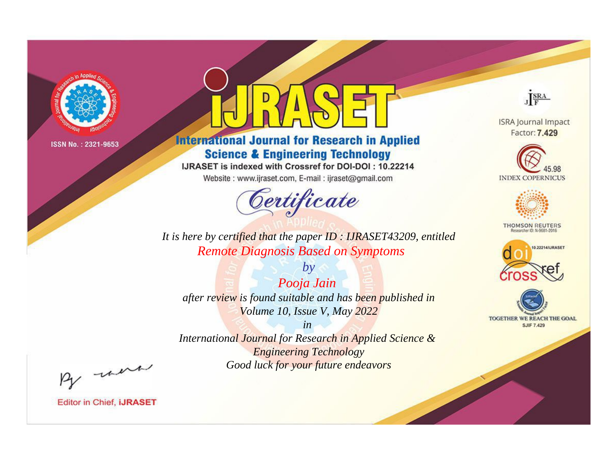

# **International Journal for Research in Applied Science & Engineering Technology**

IJRASET is indexed with Crossref for DOI-DOI: 10.22214

Website: www.ijraset.com, E-mail: ijraset@gmail.com



JERA

**ISRA Journal Impact** Factor: 7.429





**THOMSON REUTERS** 



TOGETHER WE REACH THE GOAL **SJIF 7.429** 

*It is here by certified that the paper ID : IJRASET43209, entitled Remote Diagnosis Based on Symptoms*

*by Pooja Jain after review is found suitable and has been published in Volume 10, Issue V, May 2022*

*in* 

*International Journal for Research in Applied Science & Engineering Technology Good luck for your future endeavors*

By morn